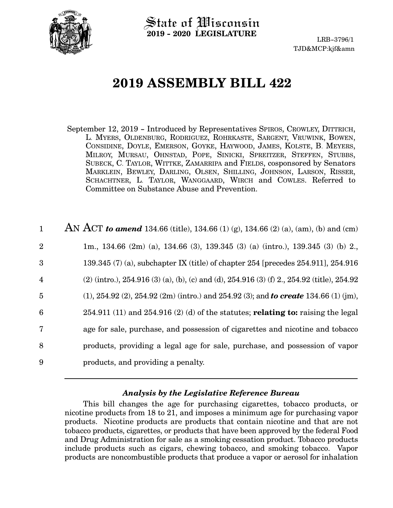

 $\operatorname{\mathsf{State}}$  of Wisconsin **2019 - 2020 LEGISLATURE**

LRB-3796/1 TJD&MCP:kjf&amn

# **2019 ASSEMBLY BILL 422**

September 12, 2019 - Introduced by Representatives SPIROS, CROWLEY, DITTRICH, L. MYERS, OLDENBURG, RODRIGUEZ, ROHRKASTE, SARGENT, VRUWINK, BOWEN, CONSIDINE, DOYLE, EMERSON, GOYKE, HAYWOOD, JAMES, KOLSTE, B. MEYERS, MILROY, MURSAU, OHNSTAD, POPE, SINICKI, SPREITZER, STEFFEN, STUBBS, SUBECK, C. TAYLOR, WITTKE, ZAMARRIPA and FIELDS, cosponsored by Senators MARKLEIN, BEWLEY, DARLING, OLSEN, SHILLING, JOHNSON, LARSON, RISSER, SCHACHTNER, L. TAYLOR, WANGGAARD, WIRCH and COWLES. Referred to Committee on Substance Abuse and Prevention.

| $\mathbf{1}$   | AN ACT to amend 134.66 (title), 134.66 (1) (g), 134.66 (2) (a), (am), (b) and (cm)                |
|----------------|---------------------------------------------------------------------------------------------------|
| $\overline{2}$ | 1m., 134.66 $(2m)$ (a), 134.66 $(3)$ , 139.345 $(3)$ (a) $(intro.)$ , 139.345 $(3)$ (b) 2.        |
| 3              | 139.345 $(7)$ (a), subchapter IX (title) of chapter 254 [precedes 254.911], 254.916               |
| $\overline{4}$ | $(2)$ (intro.), 254.916 (3) (a), (b), (c) and (d), 254.916 (3) (f) 2., 254.92 (title), 254.92     |
| $\overline{5}$ | $(1)$ , 254.92 $(2)$ , 254.92 $(2m)$ (intro.) and 254.92 $(3)$ ; and to create 134.66 $(1)$ (jm), |
| 6              | $254.911(11)$ and $254.916(2)(d)$ of the statutes; <b>relating to:</b> raising the legal          |
| $\overline{7}$ | age for sale, purchase, and possession of cigarettes and nicotine and tobacco                     |
| 8              | products, providing a legal age for sale, purchase, and possession of vapor                       |
| 9              | products, and providing a penalty.                                                                |

### *Analysis by the Legislative Reference Bureau*

This bill changes the age for purchasing cigarettes, tobacco products, or nicotine products from 18 to 21, and imposes a minimum age for purchasing vapor products. Nicotine products are products that contain nicotine and that are not tobacco products, cigarettes, or products that have been approved by the federal Food and Drug Administration for sale as a smoking cessation product. Tobacco products include products such as cigars, chewing tobacco, and smoking tobacco. Vapor products are noncombustible products that produce a vapor or aerosol for inhalation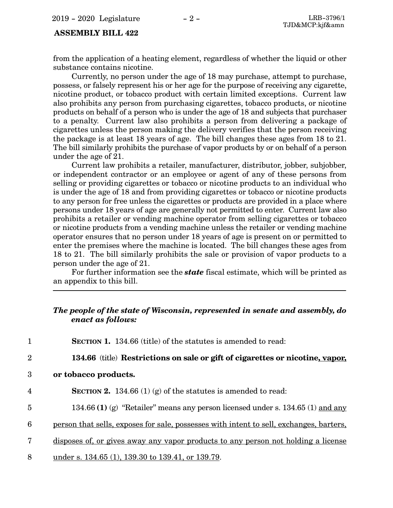### **ASSEMBLY BILL 422**

from the application of a heating element, regardless of whether the liquid or other substance contains nicotine.

Currently, no person under the age of 18 may purchase, attempt to purchase, possess, or falsely represent his or her age for the purpose of receiving any cigarette, nicotine product, or tobacco product with certain limited exceptions. Current law also prohibits any person from purchasing cigarettes, tobacco products, or nicotine products on behalf of a person who is under the age of 18 and subjects that purchaser to a penalty. Current law also prohibits a person from delivering a package of cigarettes unless the person making the delivery verifies that the person receiving the package is at least 18 years of age. The bill changes these ages from 18 to 21. The bill similarly prohibits the purchase of vapor products by or on behalf of a person under the age of 21.

Current law prohibits a retailer, manufacturer, distributor, jobber, subjobber, or independent contractor or an employee or agent of any of these persons from selling or providing cigarettes or tobacco or nicotine products to an individual who is under the age of 18 and from providing cigarettes or tobacco or nicotine products to any person for free unless the cigarettes or products are provided in a place where persons under 18 years of age are generally not permitted to enter. Current law also prohibits a retailer or vending machine operator from selling cigarettes or tobacco or nicotine products from a vending machine unless the retailer or vending machine operator ensures that no person under 18 years of age is present on or permitted to enter the premises where the machine is located. The bill changes these ages from 18 to 21. The bill similarly prohibits the sale or provision of vapor products to a person under the age of 21.

For further information see the *state* fiscal estimate, which will be printed as an appendix to this bill.

### *The people of the state of Wisconsin, represented in senate and assembly, do enact as follows:*

| $\mathbf 1$    | <b>SECTION 1.</b> 134.66 (title) of the statutes is amended to read:                           |
|----------------|------------------------------------------------------------------------------------------------|
| $\overline{2}$ | 134.66 (title) Restrictions on sale or gift of cigarettes or nicotine, vapor,                  |
| 3              | or tobacco products.                                                                           |
| $\overline{4}$ | <b>SECTION 2.</b> 134.66 (1) (g) of the statutes is amended to read:                           |
| $\overline{5}$ | 134.66 (1) (g) "Retailer" means any person licensed under s. 134.65 (1) and any                |
| 6              | <u>person that sells, exposes for sale, possesses with intent to sell, exchanges, barters,</u> |
| 7              | disposes of, or gives away any vapor products to any person not holding a license              |
| 8              | under s. 134.65 (1), 139.30 to 139.41, or 139.79.                                              |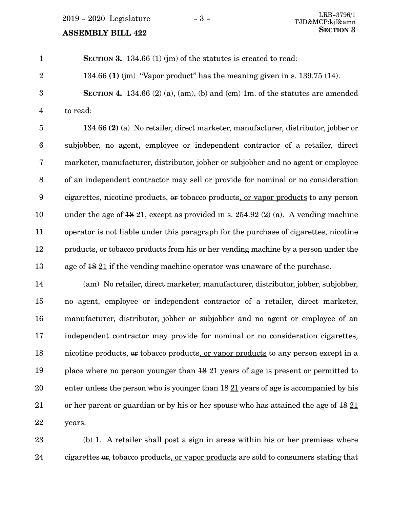**SECTION 3.** 134.66 (1) (im) of the statutes is created to read: 134.66 **(1)** (jm) "Vapor product" has the meaning given in s. 139.75 (14). **SECTION 4.** 134.66 (2) (a), (am), (b) and (cm) 1m. of the statutes are amended to read: 1 2 3 4

134.66 **(2)** (a) No retailer, direct marketer, manufacturer, distributor, jobber or subjobber, no agent, employee or independent contractor of a retailer, direct marketer, manufacturer, distributor, jobber or subjobber and no agent or employee of an independent contractor may sell or provide for nominal or no consideration cigarettes, nicotine products, or tobacco products, or vapor products to any person under the age of  $18 \underline{21}$ , except as provided in s. 254.92 (2) (a). A vending machine operator is not liable under this paragraph for the purchase of cigarettes, nicotine products, or tobacco products from his or her vending machine by a person under the age of 18 21 if the vending machine operator was unaware of the purchase. 5 6 7 8 9 10 11 12 13

(am) No retailer, direct marketer, manufacturer, distributor, jobber, subjobber, no agent, employee or independent contractor of a retailer, direct marketer, manufacturer, distributor, jobber or subjobber and no agent or employee of an independent contractor may provide for nominal or no consideration cigarettes, nicotine products, or tobacco products, or vapor products to any person except in a place where no person younger than 18 21 years of age is present or permitted to enter unless the person who is younger than 18 21 years of age is accompanied by his or her parent or guardian or by his or her spouse who has attained the age of  $1821$ years. 14 15 16 17 18 19 20 21 22

(b) 1. A retailer shall post a sign in areas within his or her premises where cigarettes or, tobacco products, or vapor products are sold to consumers stating that 23 24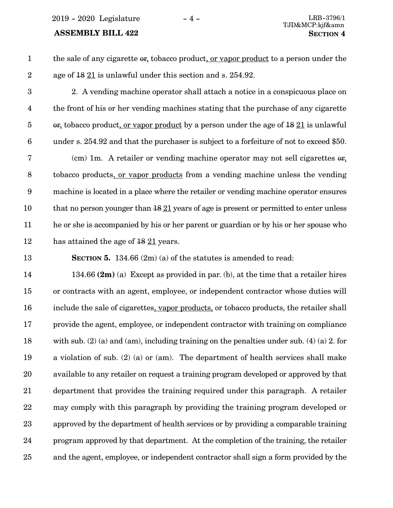2019 - 2020 Legislature - 4 - LRB-3796/1

### **ASSEMBLY BILL 422 SECTION 4**

| the sale of any cigarette or, tobacco product, or vapor product to a person under the |
|---------------------------------------------------------------------------------------|
| age of 48 21 is unlawful under this section and s. 254.92.                            |

2. A vending machine operator shall attach a notice in a conspicuous place on the front of his or her vending machines stating that the purchase of any cigarette or, tobacco product, or vapor product by a person under the age of 18 21 is unlawful under s. 254.92 and that the purchaser is subject to a forfeiture of not to exceed \$50. 3 4 5 6

(cm) 1m. A retailer or vending machine operator may not sell cigarettes  $\theta$ r, tobacco products, or vapor products from a vending machine unless the vending machine is located in a place where the retailer or vending machine operator ensures that no person younger than  $18\overline{21}$  years of age is present or permitted to enter unless he or she is accompanied by his or her parent or guardian or by his or her spouse who has attained the age of  $1821$  years. 7 8 9 10 11 12

**SECTION 5.** 134.66 (2m) (a) of the statutes is amended to read: 13

134.66 **(2m)** (a) Except as provided in par. (b), at the time that a retailer hires or contracts with an agent, employee, or independent contractor whose duties will include the sale of cigarettes, vapor products, or tobacco products, the retailer shall provide the agent, employee, or independent contractor with training on compliance with sub. (2) (a) and (am), including training on the penalties under sub. (4) (a) 2. for a violation of sub. (2) (a) or (am). The department of health services shall make available to any retailer on request a training program developed or approved by that department that provides the training required under this paragraph. A retailer may comply with this paragraph by providing the training program developed or approved by the department of health services or by providing a comparable training program approved by that department. At the completion of the training, the retailer and the agent, employee, or independent contractor shall sign a form provided by the 14 15 16 17 18 19 20 21 22 23 24 25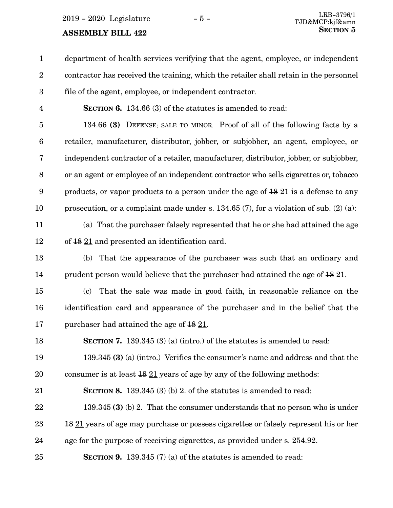department of health services verifying that the agent, employee, or independent contractor has received the training, which the retailer shall retain in the personnel file of the agent, employee, or independent contractor. 1 2 3

4

**SECTION 6.** 134.66 (3) of the statutes is amended to read:

134.66 **(3)** DEFENSE; SALE TO MINOR. Proof of all of the following facts by a retailer, manufacturer, distributor, jobber, or subjobber, an agent, employee, or independent contractor of a retailer, manufacturer, distributor, jobber, or subjobber, or an agent or employee of an independent contractor who sells cigarettes or, tobacco products, or vapor products to a person under the age of 18 21 is a defense to any prosecution, or a complaint made under s. 134.65 (7), for a violation of sub. (2) (a): 5 6 7 8 9 10

25

(a) That the purchaser falsely represented that he or she had attained the age of 18 21 and presented an identification card. 11 12

(b) That the appearance of the purchaser was such that an ordinary and prudent person would believe that the purchaser had attained the age of  $1821$ . 13 14

(c) That the sale was made in good faith, in reasonable reliance on the identification card and appearance of the purchaser and in the belief that the purchaser had attained the age of 18 21. 15 16 17

**SECTION 7.** 139.345 (3) (a) (intro.) of the statutes is amended to read: 18

139.345 **(3)** (a) (intro.) Verifies the consumer's name and address and that the consumer is at least 18 21 years of age by any of the following methods: 19 20

**SECTION 8.** 139.345 (3) (b) 2. of the statutes is amended to read: 21

139.345 **(3)** (b) 2. That the consumer understands that no person who is under 18 21 years of age may purchase or possess cigarettes or falsely represent his or her age for the purpose of receiving cigarettes, as provided under s. 254.92. 22 23 24

**SECTION 9.** 139.345 (7) (a) of the statutes is amended to read: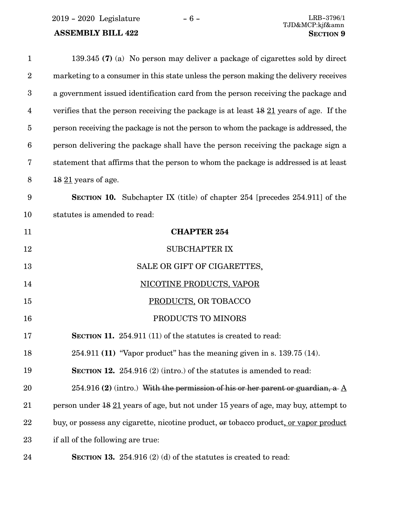### **ASSEMBLY BILL 422 SECTION 9**

| $\mathbf{1}$            | 139.345 (7) (a) No person may deliver a package of cigarettes sold by direct                 |
|-------------------------|----------------------------------------------------------------------------------------------|
| $\boldsymbol{2}$        | marketing to a consumer in this state unless the person making the delivery receives         |
| $\boldsymbol{3}$        | a government issued identification card from the person receiving the package and            |
| $\overline{\mathbf{4}}$ | verifies that the person receiving the package is at least $1821$ years of age. If the       |
| $\overline{5}$          | person receiving the package is not the person to whom the package is addressed, the         |
| $6\phantom{.}6$         | person delivering the package shall have the person receiving the package sign a             |
| 7                       | statement that affirms that the person to whom the package is addressed is at least          |
| $\,8\,$                 | $1821$ years of age.                                                                         |
| $\boldsymbol{9}$        | <b>SECTION 10.</b> Subchapter IX (title) of chapter 254 [precedes 254.911] of the            |
| 10                      | statutes is amended to read:                                                                 |
| 11                      | <b>CHAPTER 254</b>                                                                           |
| 12                      | <b>SUBCHAPTER IX</b>                                                                         |
| 13                      | SALE OR GIFT OF CIGARETTES.                                                                  |
| 14                      | <b>NICOTINE PRODUCTS, VAPOR</b>                                                              |
| 15                      | PRODUCTS, OR TOBACCO                                                                         |
| 16                      | PRODUCTS TO MINORS                                                                           |
| 17                      | <b>SECTION 11.</b> 254.911 (11) of the statutes is created to read:                          |
| 18                      | $254.911$ (11) "Vapor product" has the meaning given in s. 139.75 (14).                      |
| 19                      | <b>SECTION 12.</b> 254.916 (2) (intro.) of the statutes is amended to read:                  |
| 20                      | 254.916 (2) (intro.) With the permission of his or her parent or guardian, a $\underline{A}$ |
| 21                      | person under 18 21 years of age, but not under 15 years of age, may buy, attempt to          |
| 22                      | buy, or possess any cigarette, nicotine product, or tobacco product, or vapor product        |
| 23                      | if all of the following are true:                                                            |
| 24                      | <b>SECTION 13.</b> 254.916 (2) (d) of the statures is created to read:                       |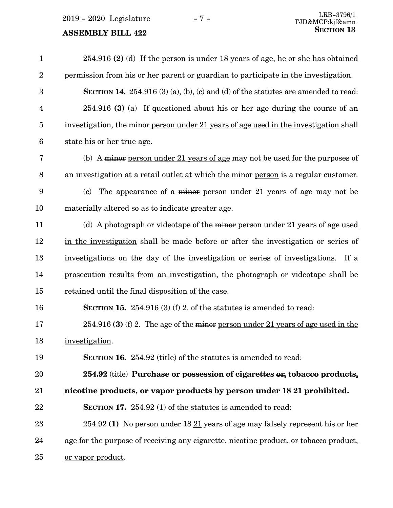2019 - 2020 Legislature - 7 -

### **ASSEMBLY BILL 422**

| $\mathbf{1}$     | $254.916$ (2) (d) If the person is under 18 years of age, he or she has obtained          |
|------------------|-------------------------------------------------------------------------------------------|
| $\boldsymbol{2}$ | permission from his or her parent or guardian to participate in the investigation.        |
| 3                | <b>SECTION 14.</b> 254.916 (3) (a), (b), (c) and (d) of the statutes are amended to read: |
| $\overline{4}$   | 254.916 (3) (a) If questioned about his or her age during the course of an                |
| $\overline{5}$   | investigation, the minor person under 21 years of age used in the investigation shall     |
| $6\phantom{1}6$  | state his or her true age.                                                                |
| 7                | (b) A minor person under 21 years of age may not be used for the purposes of              |
| $\,8\,$          | an investigation at a retail outlet at which the minor person is a regular customer.      |
| $\boldsymbol{9}$ | The appearance of a minor person under 21 years of age may not be<br>(c)                  |
| 10               | materially altered so as to indicate greater age.                                         |
| 11               | (d) A photograph or videotape of the minor person under 21 years of age used              |
| 12               | in the investigation shall be made before or after the investigation or series of         |
| 13               | investigations on the day of the investigation or series of investigations. If a          |
| 14               | prosecution results from an investigation, the photograph or videotape shall be           |
| 15               | retained until the final disposition of the case.                                         |
| 16               | <b>SECTION 15.</b> 254.916 (3) (f) 2. of the statures is amended to read:                 |
| 17               | $254.916$ (3) (f) 2. The age of the minor person under 21 years of age used in the        |
| 18               | investigation.                                                                            |
| 19               | <b>SECTION 16.</b> 254.92 (title) of the statutes is amended to read:                     |
| 20               | 254.92 (title) Purchase or possession of cigarettes or, tobacco products,                 |
| 21               | nicotine products, or vapor products by person under 18 21 prohibited.                    |
| 22               | SECTION 17. 254.92 (1) of the statutes is amended to read:                                |
| 23               | 254.92 (1) No person under $\frac{18}{21}$ years of age may falsely represent his or her  |
| 24               | age for the purpose of receiving any cigarette, nicotine product, or tobacco product,     |
| 25               | <u>or vapor product</u> .                                                                 |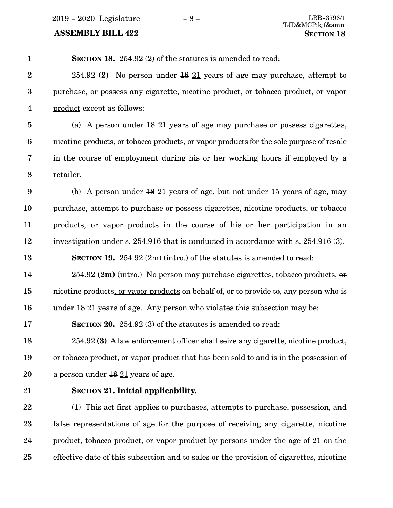2019 - 2020 Legislature -  $8$  -

## **ASSEMBLY BILL 422**

| $\mathbf{1}$            | <b>SECTION 18.</b> 254.92 (2) of the statutes is amended to read:                        |
|-------------------------|------------------------------------------------------------------------------------------|
| $\overline{2}$          | 254.92 (2) No person under $18$ $21$ years of age may purchase, attempt to               |
| $\boldsymbol{3}$        | purchase, or possess any cigarette, nicotine product, or tobacco product, or vapor       |
| $\overline{\mathbf{4}}$ | product except as follows:                                                               |
| $\overline{5}$          | (a) A person under $\frac{18}{21}$ years of age may purchase or possess cigarettes,      |
| $6\phantom{.}6$         | nicotine products, or tobacco products, or vapor products for the sole purpose of resale |
| 7                       | in the course of employment during his or her working hours if employed by a             |
| $\, 8$                  | retailer.                                                                                |
| $9\phantom{.0}$         | (b) A person under $18 \underline{21}$ years of age, but not under 15 years of age, may  |
| 10                      | purchase, attempt to purchase or possess cigarettes, nicotine products, or tobacco       |
| 11                      | products, or vapor products in the course of his or her participation in an              |
| 12                      | investigation under s. 254.916 that is conducted in accordance with s. 254.916 (3).      |
| 13                      | <b>SECTION 19.</b> 254.92 $(2m)$ (intro.) of the statutes is amended to read:            |
| 14                      | 254.92 (2m) (intro.) No person may purchase cigarettes, tobacco products, or             |
| 15                      | nicotine products, or vapor products on behalf of, or to provide to, any person who is   |
| 16                      | under $1821$ years of age. Any person who violates this subsection may be:               |
| 17                      | <b>SECTION 20.</b> 254.92 (3) of the statutes is amended to read:                        |
| 18                      | 254.92 (3) A law enforcement officer shall seize any cigarette, nicotine product,        |
| 19                      | or tobacco product, or vapor product that has been sold to and is in the possession of   |
| 20                      | a person under $1821$ years of age.                                                      |
| 21                      | <b>SECTION 21. Initial applicability.</b>                                                |
| 22                      | (1) This act first applies to purchases, attempts to purchase, possession, and           |
| 23                      | false representations of age for the purpose of receiving any cigarette, nicotine        |
| 24                      | product, tobacco product, or vapor product by persons under the age of 21 on the         |
| 25                      | effective date of this subsection and to sales or the provision of cigarettes, nicotine  |